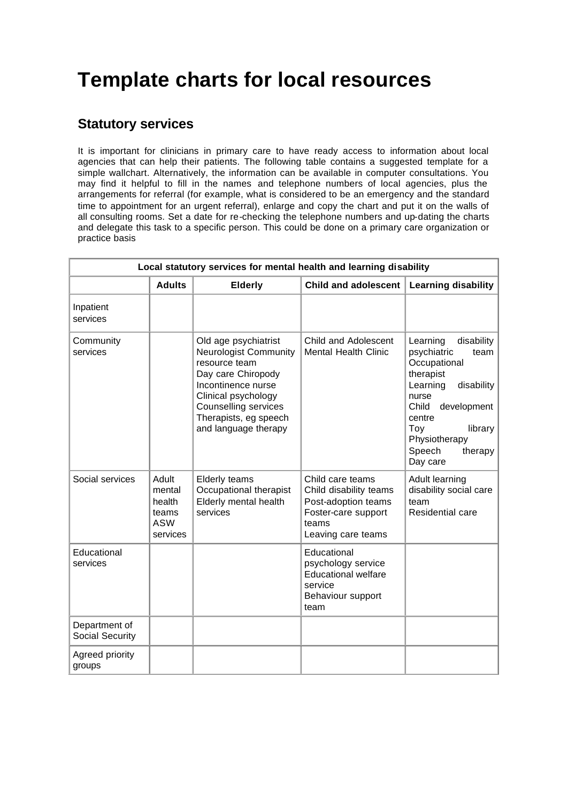## **Template charts for local resources**

## **Statutory services**

It is important for clinicians in primary care to have ready access to information about local agencies that can help their patients. The following table contains a suggested template for a simple wallchart. Alternatively, the information can be available in computer consultations. You may find it helpful to fill in the names and telephone numbers of local agencies, plus the arrangements for referral (for example, what is considered to be an emergency and the standard time to appointment for an urgent referral), enlarge and copy the chart and put it on the walls of all consulting rooms. Set a date for re-checking the telephone numbers and up-dating the charts and delegate this task to a specific person. This could be done on a primary care organization or practice basis

| Local statutory services for mental health and learning disability |                                                              |                                                                                                                                                                                                                          |                                                                                                                         |                                                                                                                                                                                                                     |  |  |
|--------------------------------------------------------------------|--------------------------------------------------------------|--------------------------------------------------------------------------------------------------------------------------------------------------------------------------------------------------------------------------|-------------------------------------------------------------------------------------------------------------------------|---------------------------------------------------------------------------------------------------------------------------------------------------------------------------------------------------------------------|--|--|
|                                                                    | <b>Adults</b>                                                | <b>Elderly</b>                                                                                                                                                                                                           | <b>Child and adolescent</b>                                                                                             | <b>Learning disability</b>                                                                                                                                                                                          |  |  |
| Inpatient<br>services                                              |                                                              |                                                                                                                                                                                                                          |                                                                                                                         |                                                                                                                                                                                                                     |  |  |
| Community<br>services                                              |                                                              | Old age psychiatrist<br><b>Neurologist Community</b><br>resource team<br>Day care Chiropody<br>Incontinence nurse<br>Clinical psychology<br><b>Counselling services</b><br>Therapists, eg speech<br>and language therapy | Child and Adolescent<br><b>Mental Health Clinic</b>                                                                     | Learning<br>disability<br>psychiatric<br>team<br>Occupational<br>therapist<br>Learning<br>disability<br>nurse<br>Child<br>development<br>centre<br>Toy<br>library<br>Physiotherapy<br>Speech<br>therapy<br>Day care |  |  |
| Social services                                                    | Adult<br>mental<br>health<br>teams<br><b>ASW</b><br>services | <b>Elderly teams</b><br>Occupational therapist<br>Elderly mental health<br>services                                                                                                                                      | Child care teams<br>Child disability teams<br>Post-adoption teams<br>Foster-care support<br>teams<br>Leaving care teams | Adult learning<br>disability social care<br>team<br>Residential care                                                                                                                                                |  |  |
| Educational<br>services                                            |                                                              |                                                                                                                                                                                                                          | Educational<br>psychology service<br><b>Educational welfare</b><br>service<br>Behaviour support<br>team                 |                                                                                                                                                                                                                     |  |  |
| Department of<br><b>Social Security</b>                            |                                                              |                                                                                                                                                                                                                          |                                                                                                                         |                                                                                                                                                                                                                     |  |  |
| Agreed priority<br>groups                                          |                                                              |                                                                                                                                                                                                                          |                                                                                                                         |                                                                                                                                                                                                                     |  |  |